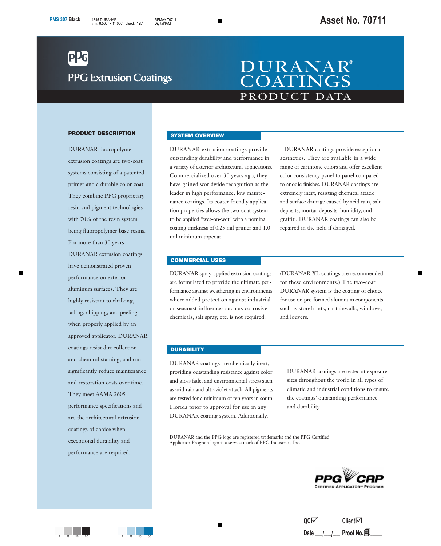# **PPG Extrusion Coatings**

## PRODUCT DATA DURANAR® **COATINGS**

#### **PRODUCT DESCRIPTION**

DURANAR fluoropolymer extrusion coatings are two-coat systems consisting of a patented primer and a durable color coat. They combine PPG proprietary resin and pigment technologies with 70% of the resin system being fluoropolymer base resins. For more than 30 years DURANAR extrusion coatings have demonstrated proven performance on exterior aluminum surfaces. They are highly resistant to chalking, fading, chipping, and peeling when properly applied by an approved applicator. DURANAR coatings resist dirt collection and chemical staining, and can significantly reduce maintenance and restoration costs over time. They meet AAMA 2605 performance specifications and are the architectural extrusion coatings of choice when exceptional durability and performance are required.

#### **SYSTEM OVERVIEW**

DURANAR extrusion coatings provide outstanding durability and performance in a variety of exterior architectural applications. Commercialized over 30 years ago, they have gained worldwide recognition as the leader in high performance, low maintenance coatings. Its coater friendly application properties allows the two-coat system to be applied "wet-on-wet" with a nominal coating thickness of 0.25 mil primer and 1.0 mil minimum topcoat.

DURANAR coatings provide exceptional aesthetics. They are available in a wide range of earthtone colors and offer excellent color consistency panel to panel compared to anodic finishes. DURANAR coatings are extremely inert, resisting chemical attack and surface damage caused by acid rain, salt deposits, mortar deposits, humidity, and graffiti. DURANAR coatings can also be repaired in the field if damaged.

#### **COMMERCIAL USES**

DURANAR spray-applied extrusion coatings are formulated to provide the ultimate performance against weathering in environments where added protection against industrial or seacoast influences such as corrosive chemicals, salt spray, etc. is not required.

(DURANAR XL coatings are recommended for these environments.) The two-coat DURANAR system is the coating of choice for use on pre-formed aluminum components such as storefronts, curtainwalls, windows, and louvers.

#### **DURABILITY**

DURANAR coatings are chemically inert, providing outstanding resistance against color and gloss fade, and environmental stress such as acid rain and ultraviolet attack. All pigments are tested for a minimum of ten years in south Florida prior to approval for use in any DURANAR coating system. Additionally,

DURANAR coatings are tested at exposure sites throughout the world in all types of climatic and industrial conditions to ensure the coatings' outstanding performance and durability.

DURANAR and the PPG logo are registered trademarks and the PPG Certified Applicator Program logo is a service mark of PPG Industries, Inc.